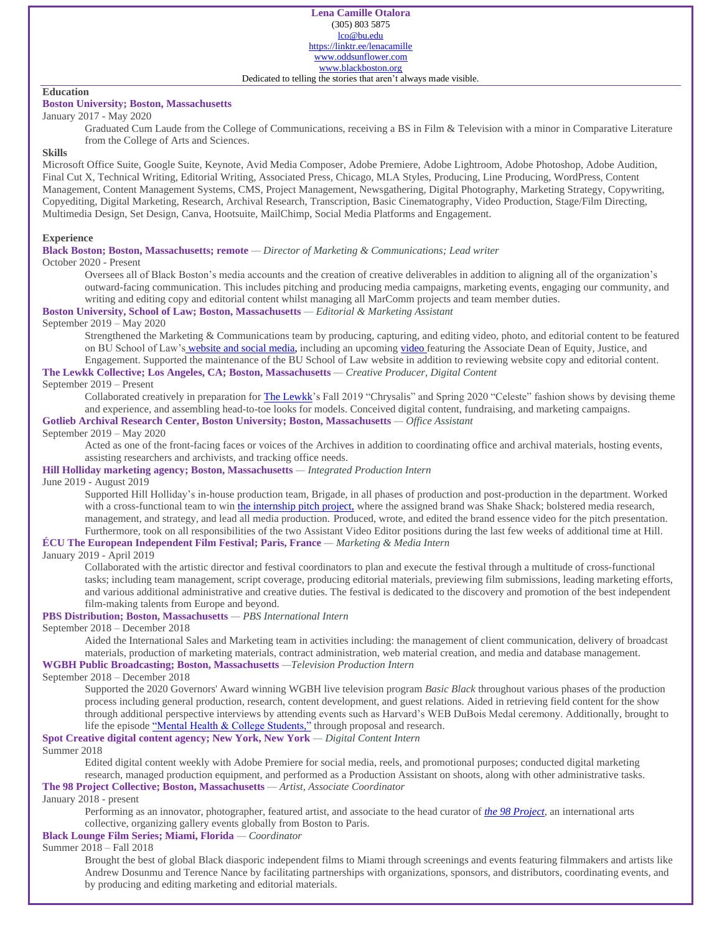### **Education**

## **Boston University; Boston, Massachusetts**

# January 2017 - May 2020

Graduated Cum Laude from the College of Communications, receiving a BS in Film & Television with a minor in Comparative Literature from the College of Arts and Sciences.

#### **Skills**

Microsoft Office Suite, Google Suite, Keynote, Avid Media Composer, Adobe Premiere, Adobe Lightroom, Adobe Photoshop, Adobe Audition, Final Cut X, Technical Writing, Editorial Writing, Associated Press, Chicago, MLA Styles, Producing, Line Producing, WordPress, Content Management, Content Management Systems, CMS, Project Management, Newsgathering, Digital Photography, Marketing Strategy, Copywriting, Copyediting, Digital Marketing, Research, Archival Research, Transcription, Basic Cinematography, Video Production, Stage/Film Directing, Multimedia Design, Set Design, Canva, Hootsuite, MailChimp, Social Media Platforms and Engagement.

#### **Experience**

#### **Black Boston; Boston, Massachusetts; remote** *— Director of Marketing & Communications; Lead writer*

October 2020 - Present

Oversees all of Black Boston's media accounts and the creation of creative deliverables in addition to aligning all of the organization's outward-facing communication. This includes pitching and producing media campaigns, marketing events, engaging our community, and writing and editing copy and editorial content whilst managing all MarComm projects and team member duties.

#### **Boston University, School of Law; Boston, Massachusetts** *— Editorial & Marketing Assistant*

#### September 2019 – May 2020

Strengthened the Marketing & Communications team by producing, capturing, and editing video, photo, and editorial content to be featured on BU School of Law's [website and social media,](https://www.facebook.com/BostonUniversitySchoolofLaw/posts/10159452274292891?__xts__%5b0%5d=68.ARD6LiTf0L8qtPPw7jJkepzpg0k47crcKn-yWOeZD9r5pF_nX7rU2yQMAf3_eZzuCklhTw2B7U7YV7_u-9e4niA_yYrLaDjbVzyRsFB6i0Wm4YTt0gzWZW0Uu0-83xn60m3y3TfO-FxSnEYTeUFW2nxK-sX_cQ1pjXVKw4ZysyBFaOCzYtny8u-CytBkKOMnl8JkAVsA0WZIqoBOz3n3crD7WmfzEZMX7yTm9Knw4TKNA3b5P-zT9rB62td9qYsmzHXrUYdj2Gbm51ksaQj_Hupbmud9dEYtVQ_r-Bk2bo5rQinuKsxvsFyfkGI36TJAWmra35seRQbX4pSA5w&__tn__=-R) including an upcomin[g video f](https://www.youtube.com/watch?v=ScPh1MCvPH4&feature=emb_title)eaturing the Associate Dean of Equity, Justice, and Engagement. Supported the maintenance of the BU School of Law website in addition to reviewing website copy and editorial content.

**The Lewkk Collective; Los Angeles, CA; Boston, Massachusetts** *— Creative Producer, Digital Content*

## September 2019 – Present

Collaborated creatively in preparation fo[r The Lewkk'](https://www.instagram.com/the_lewkk/)s Fall 2019 "Chrysalis" and Spring 2020 "Celeste" fashion shows by devising theme and experience, and assembling head-to-toe looks for models. Conceived digital content, fundraising, and marketing campaigns.

# **Gotlieb Archival Research Center, Boston University; Boston, Massachusetts** *— Office Assistant*

## September 2019 – May 2020

Acted as one of the front-facing faces or voices of the Archives in addition to coordinating office and archival materials, hosting events, assisting researchers and archivists, and tracking office needs.

## **Hill Holliday marketing agency; Boston, Massachusetts** *— Integrated Production Intern*

#### June 2019 - August 2019

Supported Hill Holliday's in-house production team, Brigade, in all phases of production and post-production in the department. Worked with a cross-functional team to win [the internship pitch project,](https://drive.google.com/open?id=1fqKh7SJGpImUvtj3bCsghoriR9-0f84W) where the assigned brand was Shake Shack; bolstered media research, management, and strategy, and lead all media production. Produced, wrote, and edited the brand essence video for the pitch presentation. Furthermore, took on all responsibilities of the two Assistant Video Editor positions during the last few weeks of additional time at Hill.

#### **ÉCU The European Independent Film Festival; Paris, France** *— Marketing & Media Intern*

#### January 2019 - April 2019

Collaborated with the artistic director and festival coordinators to plan and execute the festival through a multitude of cross-functional tasks; including team management, script coverage, producing editorial materials, previewing film submissions, leading marketing efforts, and various additional administrative and creative duties. The festival is dedicated to the discovery and promotion of the best independent film-making talents from Europe and beyond.

## **PBS Distribution; Boston, Massachusetts** *— PBS International Intern*

#### September 2018 – December 2018

Aided the International Sales and Marketing team in activities including: the management of client communication, delivery of broadcast materials, production of marketing materials, contract administration, web material creation, and media and database management. **WGBH Public Broadcasting; Boston, Massachusetts** *—Television Production Intern*

# September 2018 – December 2018

Supported the 2020 Governors' Award winning WGBH live television program *Basic Black* throughout various phases of the production process including general production, research, content development, and guest relations. Aided in retrieving field content for the show through additional perspective interviews by attending events such as Harvard's WEB DuBois Medal ceremony. Additionally, brought to life the episod[e "Mental Health & College Students,"](https://www.wgbh.org/program/basic-black/mental-health-college-students) through proposal and research.

# **Spot Creative digital content agency; New York, New York** *— Digital Content Intern*

#### Summer 2018

Edited digital content weekly with Adobe Premiere for social media, reels, and promotional purposes; conducted digital marketing research, managed production equipment, and performed as a Production Assistant on shoots, along with other administrative tasks.

### **The 98 Project Collective; Boston, Massachusetts** *— Artist, Associate Coordinator*

#### January 2018 - present

Performing as an innovator, photographer, featured artist, and associate to the head curator of *[the 98 Project](https://www.instagram.com/98artcollective/)*, an international arts collective, organizing gallery events globally from Boston to Paris.

## **Black Lounge Film Series; Miami, Florida** *— Coordinator*

#### Summer 2018 – Fall 2018

Brought the best of global Black diasporic independent films to Miami through screenings and events featuring filmmakers and artists like Andrew Dosunmu and Terence Nance by facilitating partnerships with organizations, sponsors, and distributors, coordinating events, and by producing and editing marketing and editorial materials.